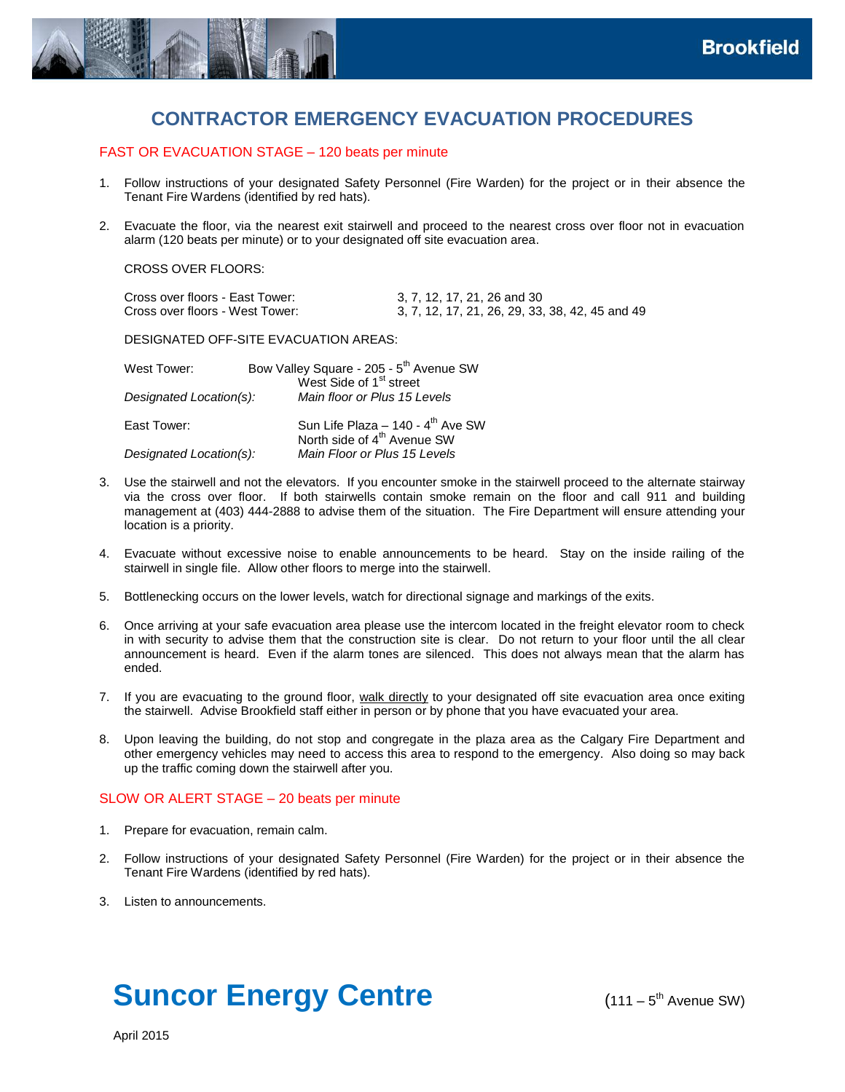

# **CONTRACTOR EMERGENCY EVACUATION PROCEDURES**

### FAST OR EVACUATION STAGE – 120 beats per minute

- 1. Follow instructions of your designated Safety Personnel (Fire Warden) for the project or in their absence the Tenant Fire Wardens (identified by red hats).
- 2. Evacuate the floor, via the nearest exit stairwell and proceed to the nearest cross over floor not in evacuation alarm (120 beats per minute) or to your designated off site evacuation area.

CROSS OVER FLOORS:

| Cross over floors - East Tower: | 3, 7, 12, 17, 21, 26 and 30                     |
|---------------------------------|-------------------------------------------------|
| Cross over floors - West Tower: | 3, 7, 12, 17, 21, 26, 29, 33, 38, 42, 45 and 49 |

DESIGNATED OFF-SITE EVACUATION AREAS:

| West Tower:             | Bow Valley Square - 205 - 5 <sup>th</sup> Avenue SW<br>West Side of 1 <sup>st</sup> street |  |
|-------------------------|--------------------------------------------------------------------------------------------|--|
| Designated Location(s): | Main floor or Plus 15 Levels                                                               |  |
| East Tower:             | Sun Life Plaza - 140 - 4 <sup>th</sup> Ave SW<br>North side of 4 <sup>th</sup> Avenue SW   |  |
| Designated Location(s): | Main Floor or Plus 15 Levels                                                               |  |

- 3. Use the stairwell and not the elevators. If you encounter smoke in the stairwell proceed to the alternate stairway via the cross over floor. If both stairwells contain smoke remain on the floor and call 911 and building management at (403) 444-2888 to advise them of the situation. The Fire Department will ensure attending your location is a priority.
- 4. Evacuate without excessive noise to enable announcements to be heard. Stay on the inside railing of the stairwell in single file. Allow other floors to merge into the stairwell.
- 5. Bottlenecking occurs on the lower levels, watch for directional signage and markings of the exits.
- 6. Once arriving at your safe evacuation area please use the intercom located in the freight elevator room to check in with security to advise them that the construction site is clear. Do not return to your floor until the all clear announcement is heard. Even if the alarm tones are silenced. This does not always mean that the alarm has ended.
- 7. If you are evacuating to the ground floor, walk directly to your designated off site evacuation area once exiting the stairwell. Advise Brookfield staff either in person or by phone that you have evacuated your area.
- 8. Upon leaving the building, do not stop and congregate in the plaza area as the Calgary Fire Department and other emergency vehicles may need to access this area to respond to the emergency. Also doing so may back up the traffic coming down the stairwell after you.

#### SLOW OR ALERT STAGE – 20 beats per minute

- 1. Prepare for evacuation, remain calm.
- 2. Follow instructions of your designated Safety Personnel (Fire Warden) for the project or in their absence the Tenant Fire Wardens (identified by red hats).
- 3. Listen to announcements.

# **Suncor Energy Centre**